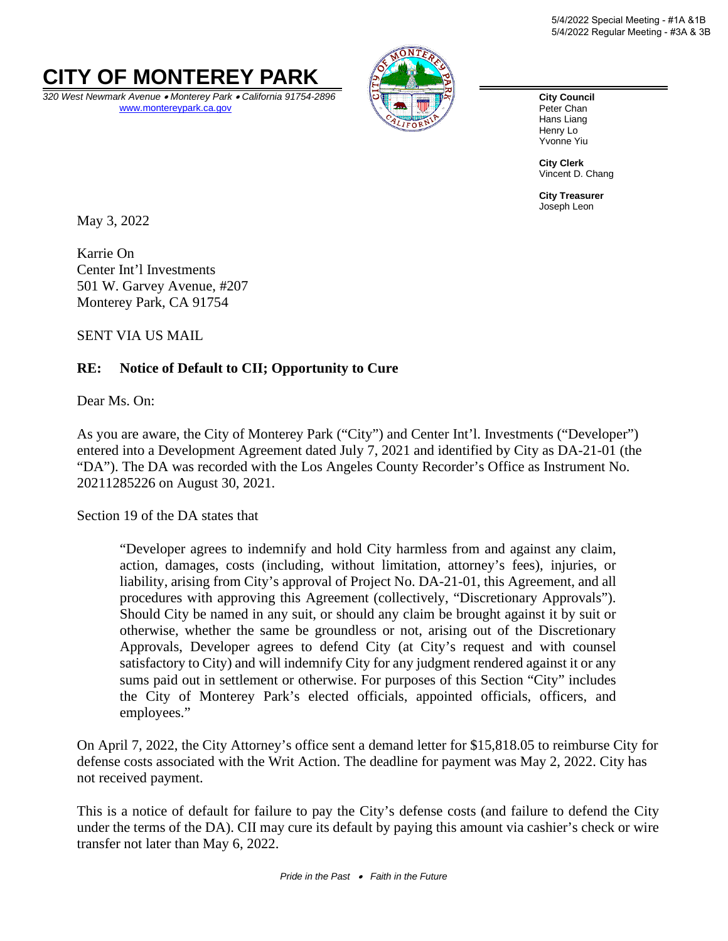

*320 West Newmark Avenue* • *Monterey Park* • *California 91754-2896* [www.montereypark.ca.gov](http://www.montereypark.ca.gov/)



**City Council** Peter Chan Hans Liang Henry Lo Yvonne Yiu

**City Clerk** Vincent D. Chang

**City Treasurer** Joseph Leon

May 3, 2022

Karrie On Center Int'l Investments 501 W. Garvey Avenue, #207 Monterey Park, CA 91754

SENT VIA US MAIL

#### **RE: Notice of Default to CII; Opportunity to Cure**

Dear Ms. On:

As you are aware, the City of Monterey Park ("City") and Center Int'l. Investments ("Developer") entered into a Development Agreement dated July 7, 2021 and identified by City as DA-21-01 (the "DA"). The DA was recorded with the Los Angeles County Recorder's Office as Instrument No. 20211285226 on August 30, 2021.

Section 19 of the DA states that

"Developer agrees to indemnify and hold City harmless from and against any claim, action, damages, costs (including, without limitation, attorney's fees), injuries, or liability, arising from City's approval of Project No. DA-21-01, this Agreement, and all procedures with approving this Agreement (collectively, "Discretionary Approvals"). Should City be named in any suit, or should any claim be brought against it by suit or otherwise, whether the same be groundless or not, arising out of the Discretionary Approvals, Developer agrees to defend City (at City's request and with counsel satisfactory to City) and will indemnify City for any judgment rendered against it or any sums paid out in settlement or otherwise. For purposes of this Section "City" includes the City of Monterey Park's elected officials, appointed officials, officers, and employees."

On April 7, 2022, the City Attorney's office sent a demand letter for \$15,818.05 to reimburse City for defense costs associated with the Writ Action. The deadline for payment was May 2, 2022. City has not received payment.

This is a notice of default for failure to pay the City's defense costs (and failure to defend the City under the terms of the DA). CII may cure its default by paying this amount via cashier's check or wire transfer not later than May 6, 2022.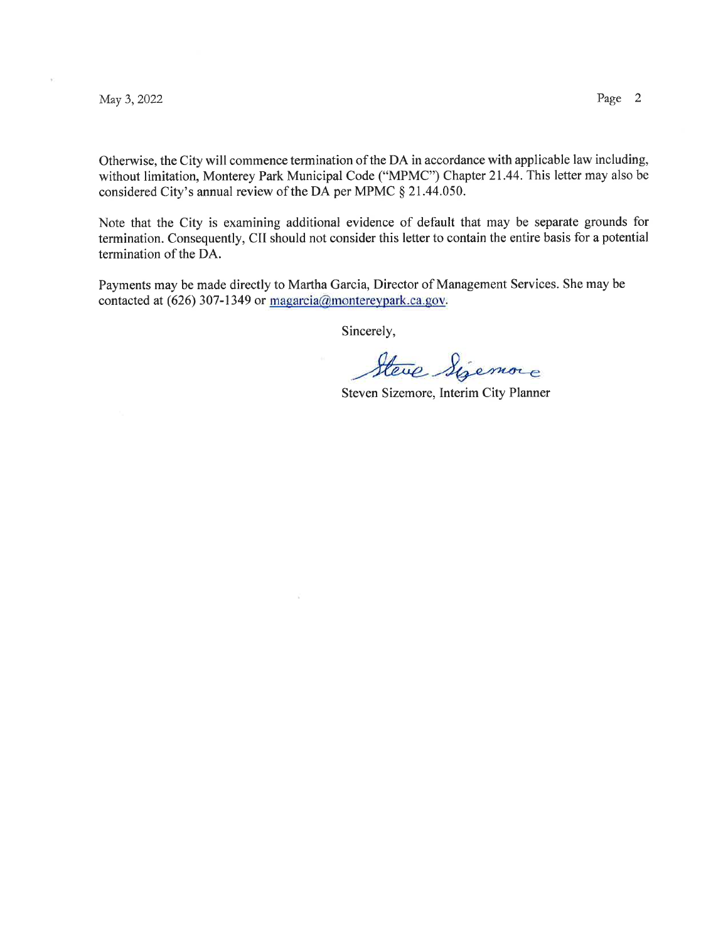May 3,2022 Page 2

Otherwise, the City will commence termination of the DA in accordance with applicable law including, without limitation, Monterey Park Municipal Code ("MPMC") Chapter 21.44. This letter may also be considered City's annual review of the DA per MPMC \$ 21.44.050.

Note that the City is examining additional evidence of default that may be separate grounds for termination. Consequently, CII should not consider this letter to contain the entire basis for a potential termination of the DA.

Payments may be made directly to Martha Garcia, Director of Management Services. She may be contacted at (626) 307-1349 or  $magarcia@montereypark.ca.gov$ .

Sincerely,

Steve Sizemore

Steven Sizemore, Interim City Planner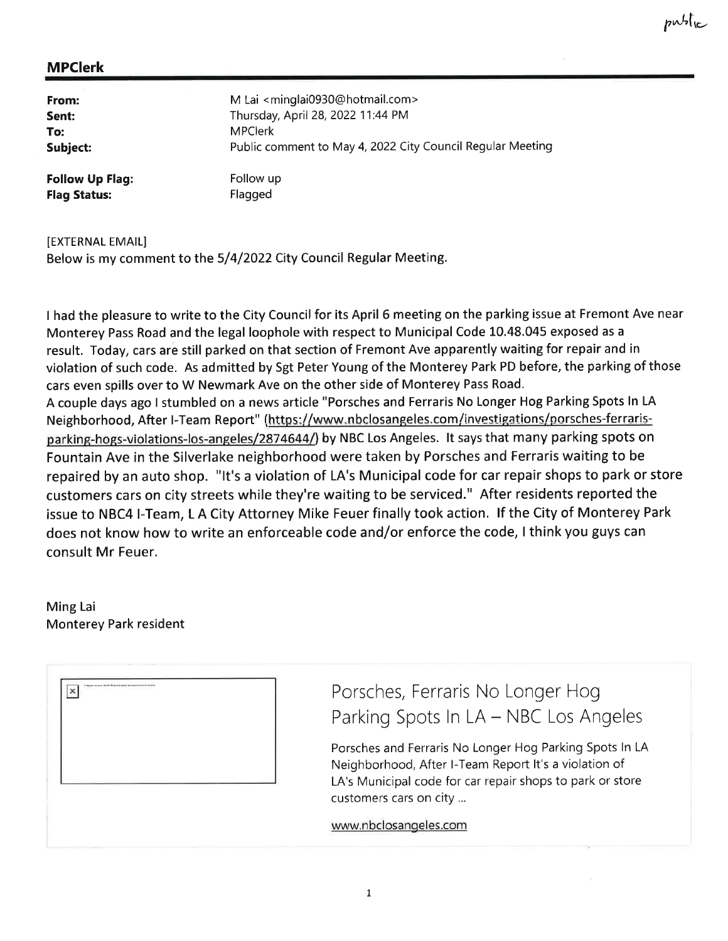| From:                  | M Lai <minglai0930@hotmail.com></minglai0930@hotmail.com>  |
|------------------------|------------------------------------------------------------|
| Sent:                  | Thursday, April 28, 2022 11:44 PM                          |
| To:                    | <b>MPClerk</b>                                             |
| Subject:               | Public comment to May 4, 2022 City Council Regular Meeting |
| <b>Follow Up Flag:</b> | Follow up                                                  |
| <b>Flag Status:</b>    | Flagged                                                    |

IEXTERNAL EMAIL]

Below is my comment to the 5/4/2022 City Council Regular Meeting.

I had the pleasure to write to the City Council for its April 6 meeting on the parking issue at Fremont Ave near Monterey Pass Road and the legal loophole with respect to Municipal Code 10.48.045 exposed as <sup>a</sup> result. Today, cars are still parked on that section of Fremont Ave apparently waiting for repair and in violation of such code. As admitted by Sgt Peter Young of the Monterey Park PD before, the parking of those cars even spills over to W Newmark Ave on the other side of Monterey Pass Road. A couple days ago I stumbled on a news article "Porsches and Ferraris No Longer Hog Parking Spots ln LA Neighborhood, After I-Team Report" (https://www.nbclosangeles.com/investigations/porsches-ferrarisparking-hogs-violations-los-angeles/2874644/) by NBC Los Angeles. It says that many parking spots on Fountain Ave in the Silverlake neighborhood were taken by Porsches and Ferraris waiting to be repaired by an auto shop. "lt's a violation of LA's Municipal code for car repair shops to park or store customers cars on city streets while they're waiting to be serviced." After residents reported the issue to NBC4 l-Team, L A City Attorney Mike Feuer finally took action. lf the City of Monterey Park does not know how to write an enforceable code and/or enforce the code, I think you guys can consult Mr Feuer.

Ming Lai Monterey Park resident

| The partners of the Museum species in the Chronicle State of<br>-<br>in a complete the complete state of the<br>× | ---- |  |  |
|-------------------------------------------------------------------------------------------------------------------|------|--|--|
|                                                                                                                   |      |  |  |
|                                                                                                                   |      |  |  |
|                                                                                                                   |      |  |  |

Porsches, Ferraris No Longer Hog Parking Spots In LA - NBC Los Angeles

Porsches and Ferraris No Longer Hog Parking Spots ln LA Neighborhood, After l-Team Report lt's a violation of LA's Municipal code for car repair shops to park or store customers cars on city ...

www.nbclosangeles.com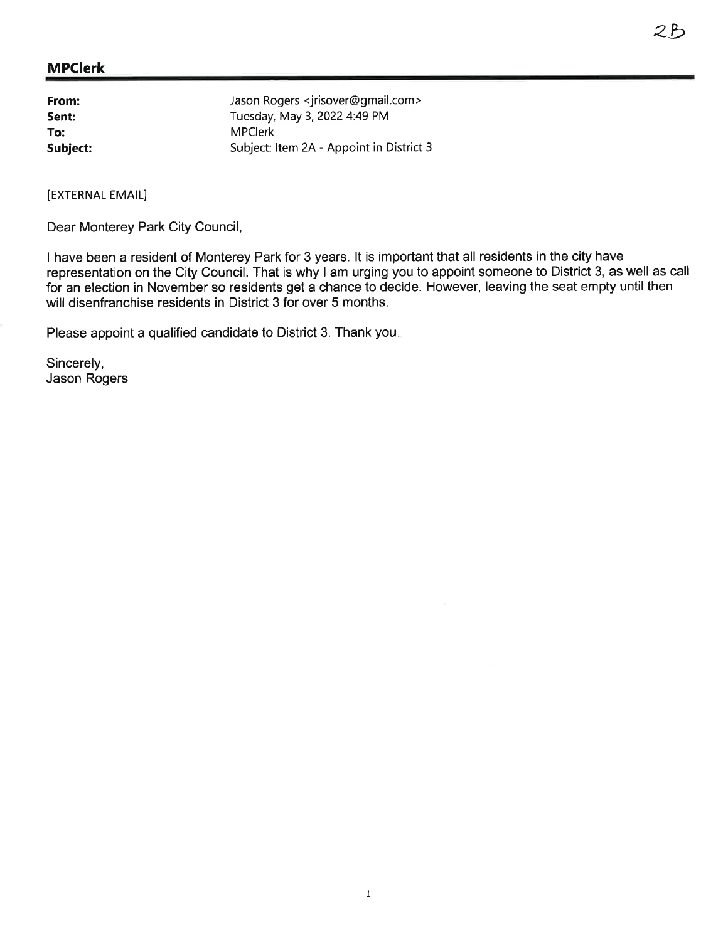| From:    | Jason Rogers <jrisover@gmail.com></jrisover@gmail.com> |
|----------|--------------------------------------------------------|
| Sent:    | Tuesday, May 3, 2022 4:49 PM                           |
| To:      | <b>MPClerk</b>                                         |
| Subject: | Subject: Item 2A - Appoint in District 3               |

[EXTERNAL EMAIL]

Dear Monterey Park City Council,

I have been a resident of Monterey Park for 3 years. lt is important that all residents in the city have representation on the City Council. That is why I am urging you to appoint someone to District 3, as well as call for an election in November so residents get a chance to decide. However, leaving the seat empty until then will disenfranchise residents in District 3 for over 5 months.

Please appoint a qualified candidate to District 3. Thank you.

Sincerely, Jason Rogers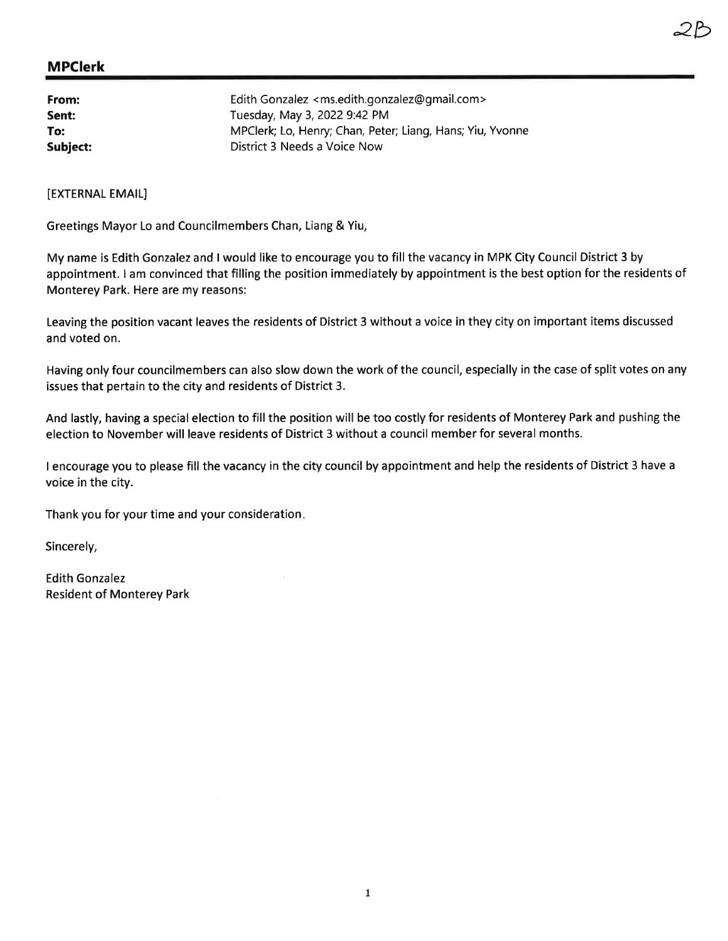| From:    | Edith Gonzalez <ms.edith.gonzalez@gmail.com></ms.edith.gonzalez@gmail.com> |
|----------|----------------------------------------------------------------------------|
| Sent:    | Tuesday, May 3, 2022 9:42 PM                                               |
| To:      | MPClerk; Lo, Henry; Chan, Peter; Liang, Hans; Yiu, Yvonne                  |
| Subject: | District 3 Needs a Voice Now                                               |

[EXTERNAL EMAIL]

Greetings Mayor Lo and Councilmembers Chan, Liang & Yiu,

My name is Edith Gonzalez and I would like to encourage you to fill the vacancy in MPK City Council District 3 by appointment. I am convinced that filling the position immediately by appointment is the best option for the residents of Monterey Park. Here are my reasons:

Leaving the position vacant leaves the residents of District 3 without a voice in they city on important items discussed and voted on.

Having only four councilmembers can also slow down the work of the council, especially in the case of split votes on any issues that pertain to the city and residents of District 3.

And lastly, having a special election to fill the position will be too costly for residents of Monterey Park and pushing the election to November will leave residents of District 3 without a council member for several months.

I encourage you to please fill the vacancy in the city council by appointment and help the residents of District 3 have <sup>a</sup> voice in the city.

Thank you for your time and your consideration

Sincerely,

Edith Gonzalez Resident of Monterey Park 2b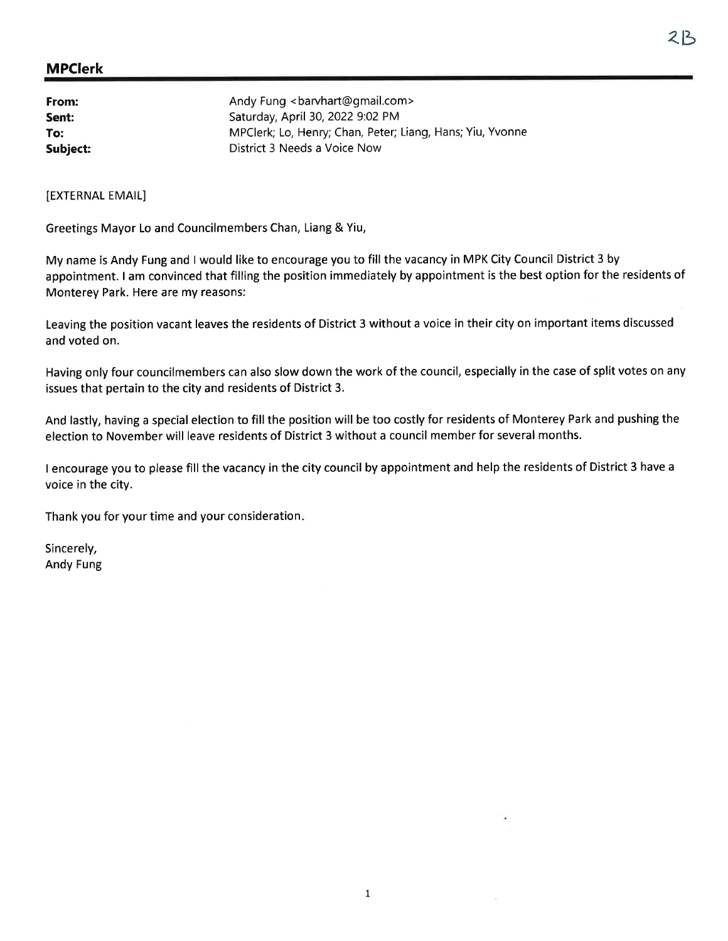# "b MPClerk

| From:    | Andy Fung<br>barvhart@gmail.com>                          |
|----------|-----------------------------------------------------------|
| Sent:    | Saturday, April 30, 2022 9:02 PM                          |
| To:      | MPClerk; Lo, Henry; Chan, Peter; Liang, Hans; Yiu, Yvonne |
| Subject: | District 3 Needs a Voice Now                              |

[EXTERNAL EMAIL]

Greetings Mayor Lo and Councilmembers Chan, Liang & Yiu,

My name is Andy Fung and I would like to encourage you to fill the vacancy in MPK City Council District 3 by appointment. I am convinced that filling the position immediately by appointment is the best option for the residents of Monterey Park. Here are my reasons:

Leaving the position vacant leaves the residents of District 3 without a voice in their city on important items discussed and voted on.

Having only four councilmembers can also slow down the work of the council, especially in the case of split votes on any issues that pertain to the city and residents of District 3.

And lastly, having a special election to fill the position will be too costly for residents of Monterey Park and pushing the election to November will leave residents of District 3 without a council member for several months.

<sup>I</sup>encourage you to please fill the vacancy in the city council by appointment and help the residents of District 3 have <sup>a</sup> voice in the city.

Thank you for your time and your consideration

Sincerely, Andy Fung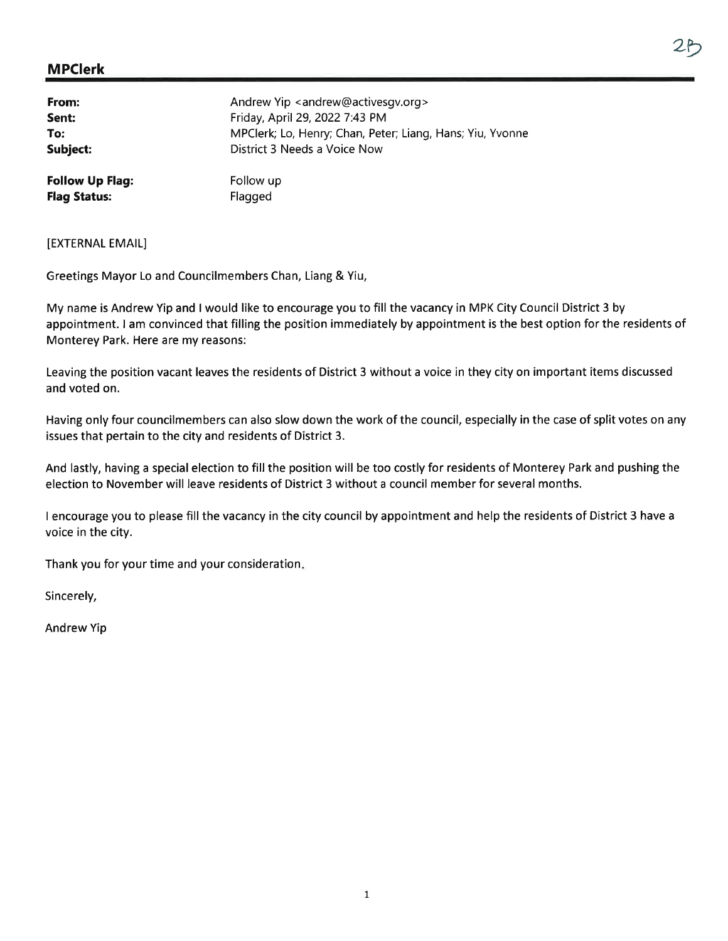| From:                  | Andrew Yip <andrew@activesgv.org></andrew@activesgv.org>  |
|------------------------|-----------------------------------------------------------|
| Sent:                  | Friday, April 29, 2022 7:43 PM                            |
| To:                    | MPClerk; Lo, Henry; Chan, Peter; Liang, Hans; Yiu, Yvonne |
| Subject:               | District 3 Needs a Voice Now                              |
| <b>Follow Up Flag:</b> | Follow up                                                 |
| <b>Flag Status:</b>    | Flagged                                                   |

[EXTERNAL EMAIL]

Greetings Mayor Lo and Councilmembers Chan, Liang & Yiu,

My name is Andrew Yip and I would like to encourage you to fill the vacancy in MPK City Council District 3 by appointment. I am convinced that filling the position immediately by appointment is the best option for the residents of Monterey Park. Here are my reasons:

Leaving the position vacant leaves the residents of District 3 without a voice in they city on important items discussed and voted on.

Having only four councilmembers can also slow down the work of the council, especially in the case of split votes on any issues that pertain to the city and residents of District 3.

And lastly, having a special election to fill the position will be too costly for residents of Monterey Park and pushing the election to November will leave residents of District 3 without a council member for several months.

I encourage you to please fill the vacancy in the city council by appointment and help the residents of District 3 have <sup>a</sup> voice in the city.

Thank you for your time and your consideration

Sincerely,

Andrew Yip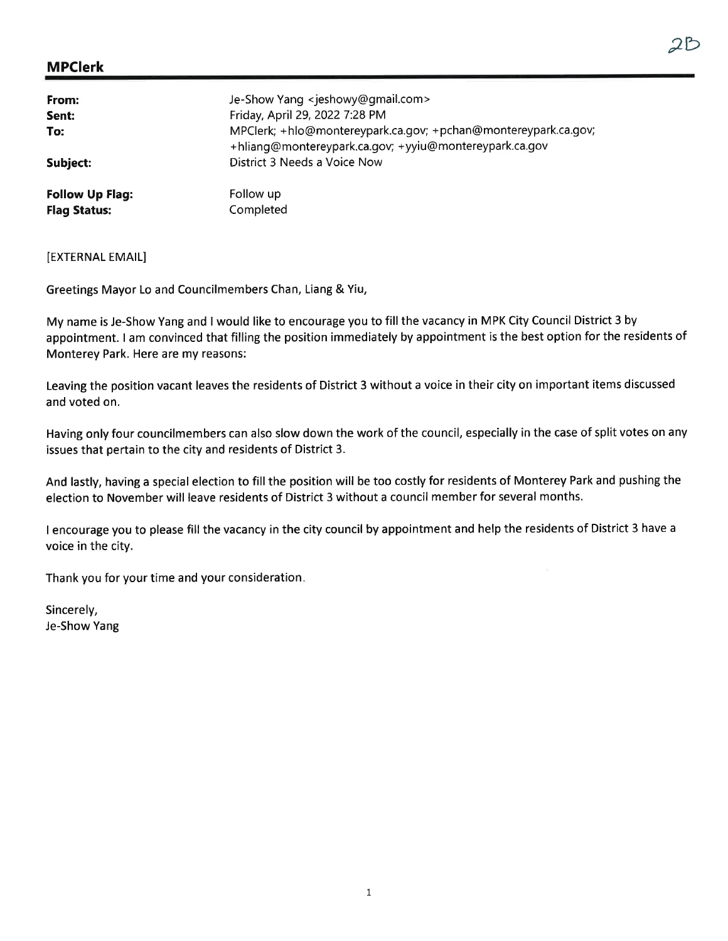| From:<br>Sent:<br>To:<br>Subject: | Je-Show Yang <jeshowy@gmail.com><br/>Friday, April 29, 2022 7:28 PM<br/>MPClerk; +hlo@montereypark.ca.gov; +pchan@montereypark.ca.gov;<br/>+hliang@montereypark.ca.gov; +yyiu@montereypark.ca.gov<br/>District 3 Needs a Voice Now</jeshowy@gmail.com> |
|-----------------------------------|--------------------------------------------------------------------------------------------------------------------------------------------------------------------------------------------------------------------------------------------------------|
| <b>Follow Up Flag:</b>            | Follow up                                                                                                                                                                                                                                              |
| <b>Flag Status:</b>               | Completed                                                                                                                                                                                                                                              |

[EXTERNAL EMAIL]

Greetings Mayor Lo and Councilmembers Chan, Liang & Yiu,

My name is Je-Show Yang and I would like to encourage you to fill the vacancy in MPK City Council District 3 by appointment. I am convinced that filling the position immediately by appointment is the best option for the residents of Monterey Park. Here are my reasons:

Leaving the position vacant leaves the residents of District 3 without a voice in their city on important items discussed and voted on.

Having only four councilmembers can also slow down the work of the council, especially in the case of split votes on any issues that pertain to the city and residents of District 3.

And lastly, having a special election to fill the position will be too costly for residents of Monterey Park and pushing the election to November will leave residents of District 3 without a council member for several months.

<sup>I</sup>encourage you to please fill the vacancy in the city council by appointment and help the residents of District 3 have <sup>a</sup> voice in the city.

Thank you for your time and your consideration

Sincerely, Je-Show Yang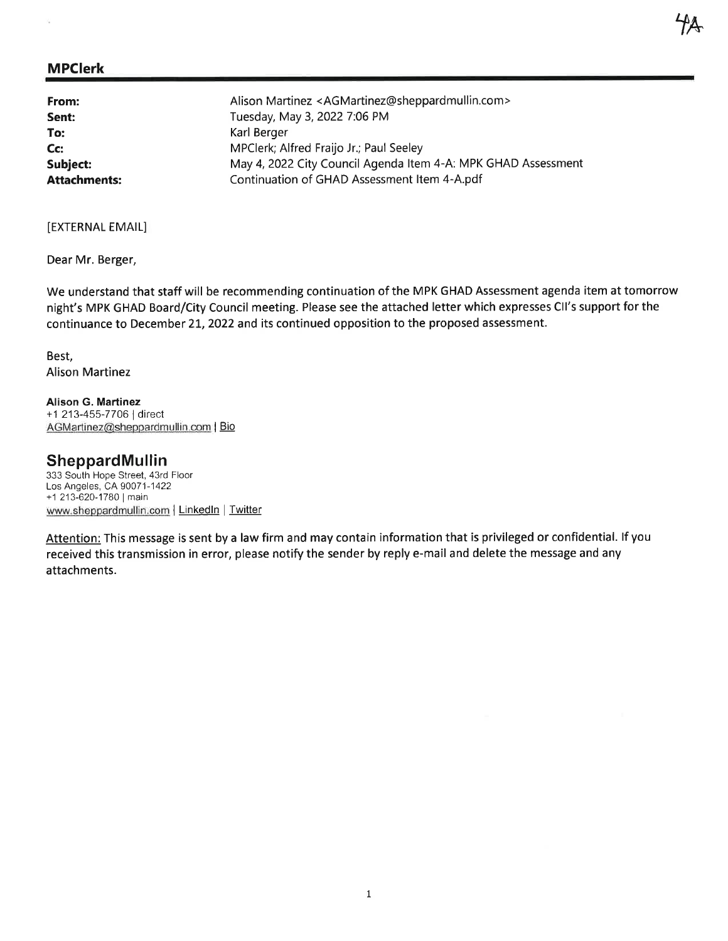| From:               | Alison Martinez <agmartinez@sheppardmullin.com></agmartinez@sheppardmullin.com> |
|---------------------|---------------------------------------------------------------------------------|
| Sent:               | Tuesday, May 3, 2022 7:06 PM                                                    |
| To:                 | Karl Berger                                                                     |
| Cc:                 | MPClerk; Alfred Fraijo Jr.; Paul Seeley                                         |
| Subject:            | May 4, 2022 City Council Agenda Item 4-A: MPK GHAD Assessment                   |
| <b>Attachments:</b> | Continuation of GHAD Assessment Item 4-A.pdf                                    |

[EXTERNAL EMAIL]

Dear Mr. Berger,

We understand that staff will be recommending continuation of the MPK GHAD Assessment agenda item at tomorrow night's MPK GHAD Board/City Council meeting. Please see the attached letter which expresses Cll's support for the continuance to December 21, 2022 and its continued opposition to the proposed assessment.

'fx

Best, Alison Martinez

Alison G. Martinez +1 213-455-7706 | direct AGMartinez@sheppardmullin.com | Bio

#### SheppardMullin

333 South Hope Street, 43rd Floor Los Angeles, CA 9007 1-1422 +1 213-620-1780 | main www.sheppardmullin.com | LinkedIn | Twitter

Attention: This message is sent by a law firm and may contain information that is privileged or confidential. If you received this transmission in error, please notify the sender by reply e-mail and delete the message and any attachments.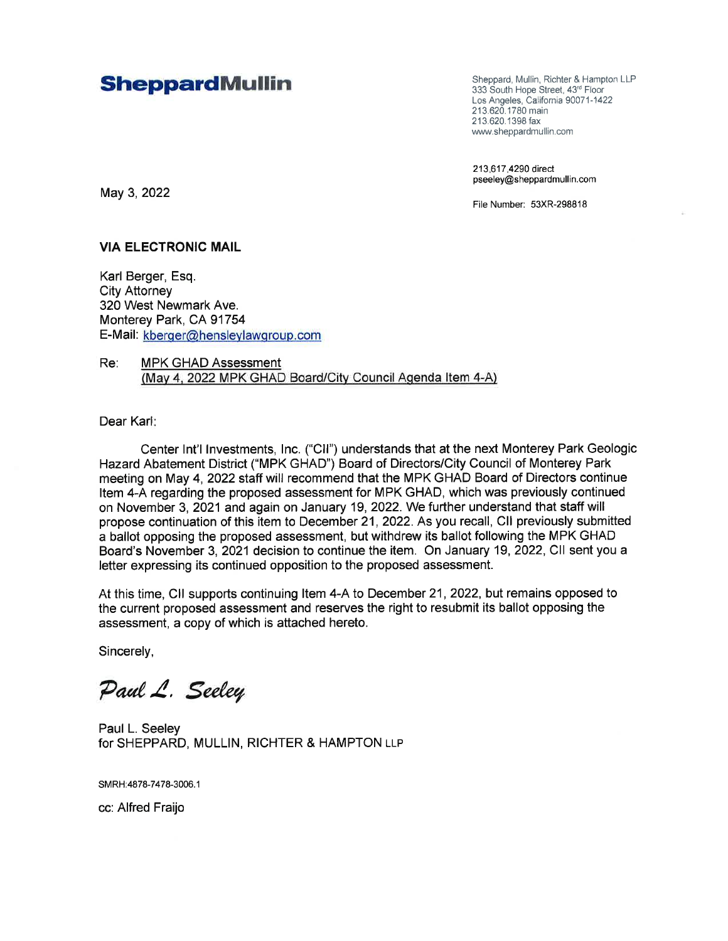### **SheppardMullin** Sheppard, Mullin, Richter & Hampton LLP<br>333 South Hope Street. 43<sup>rd</sup> Floor

333 South Hope Street, 43'd Floor Los Angeles, California 90071-1422 213.620.1780 main 213.620.1398 fax www.sheppardmullin.com

213.617.4290 direct pseeley@sheppardmullin.com

File Number: 53XR-298818

#### VIA ELECTRONIC MAIL

May 3,2022

Karl Berger, Esq. City Attorney 320 West Newmark Ave. Monterey Park, CA 91754 E-Mail: kberqer@henslevlawqroup.com

Re: MPK GHAD Assessment (May 4, 2022 MPK GHAD Board/City Council Agenda Item 4-A)

Dear Karl

Center lnt'l lnvestments, lnc. ('Cll') understands that at the next Monterey Park Geologic Hazard Abatement District ('MPK GHAD") Board of Directors/City Council of Monterey Park meeting on May 4,2022 staff will recommend that the MPK GHAD Board of Directors continue Item 4-A regarding the proposed assessment for MPK GHAD, which was previously continued on Novembet 3,2021 and again on January 19,2022. We further understand that staff will propose continuation of this item to December 21,2022. As you recall, Cll previously submitted a ballot opposing the proposed assessment, but withdrew its ballot following the MPK GHAD Board's November 3, 2021 decision to continue the item. On January 19,2022, Cll sent you a letter expressing its continued opposition to the proposed assessment.

At this time, CII supports continuing Item 4-A to December 21, 2022, but remains opposed to the current proposed assessment and reserves the right to resubmit its ballot opposing the assessment, a copy of which is attached hereto.

Sincerely,

Paul L. Seeley

Paul L. Seeley for SHEPPARD, MULLIN, RICHTER & HAMPTON LLP

SMRH:4878-7478-3006. <sup>1</sup>

cc:Alfred Fraijo